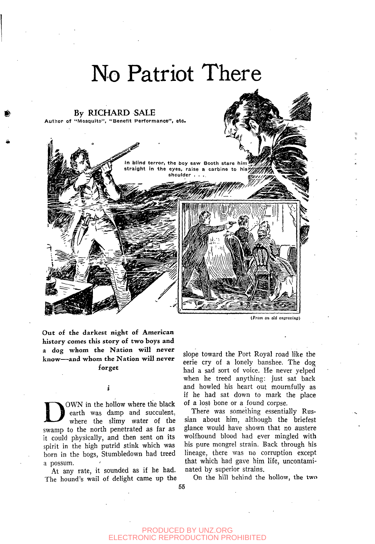

*{From an old engraving)* 

**Out** of the darkest **night of American**  history comes this story of two boys and a dog whom **the Nation will never**  know**—and whom the Nation will never forget** 

OWN in the hollow where the black<br>earth was damp and succulent,<br>where the slimy water of the<br>swamp to the north penetrated as far as OWN in the hollow where the black earth was damp and succulent, where the slimy water of the it could physically, and then sent on its spirit in the high putrid stink which was born in the bogs, Stumbledown had treed a possum.

At any rate, it sounded as if he had. The hound's wail of delight came up the slope toward the Port Royal road like the eerie cry of a lonely banshee. The dog had a sad sort of voice. He never yelped when he treed anything: just sat back and howled his heart out mournfully as if he had sat down to mark the place of a lost bone or a found corpse.

There was something essentially Russian about him, although the briefest glance would have shown that no austere wolfhound blood had ever mingled with his pure mongrel strain. Back through his lineage, there was no corruption except that which had gave him life, uncontaminated by superior strains.

On the hill behind the hollow, the two

55

i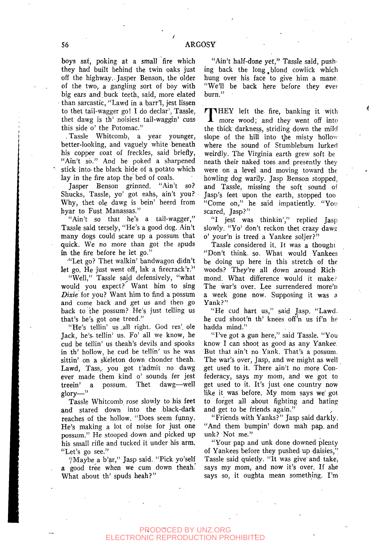boys sat, poking at a small fire which they had built behind the twin oaks just off the highway.. Jasper Benson, the older of the two, a gangling sort of boy with big ears and.buck teeth, said, more elated than sarcastic, "Lawd in a barr'l, jest lissen to thet tail-wagger go! I do declar', Tassle, thet dawg is th' noisiest tail-waggin' cuss this side o' the Potomac."

, Tassle Whitcomb, a year younger, better-looking, and vaguely white beneath his copper coat of freckles, said briefly, "Ain't so." And he poked a sharpened stick into- the black hide of a potato which lay in the fire atop the bed of coals.

Jasper Benson grinned. "Ain't so? Shucks, Tassle, yo' got eahs, ain't you? Why, thet ole dawg is bein' heerd from hyar to Fust Manassas."

"Ain't so that he's a tail-wagger," Tassle said tersely, "He's a good dog. Ain't many dogs could scare up a possum that quick. We no more than got the spuds in the fire before he let go."

"Let go? Thet walkin' bandwagon didn't let go. He just went off, lak a firecrack'r."

"Well," Tassle sajd defensively, "what would you expect? Want him to sing *Dixie* for you? Want him to find a possum and come back and get us and then go back to the possum? He's just telling us that's he's got one treed."

"He's tellin' us\_all right. God res', ole Jack, he's, tellin' us. Fo' all we know, he cud be tellin' us theah's devils and spooks in th' hollow, he cud be tellin' us he was sittin' on a skeleton down chonder theah. Lawd, Tass, you got t'admit no dawg ever made them kind o' sounds fer jest treein' a possum. Thet dawg—well  $glor -$ "

Tassle Whitcomb. rose slowly to his feet and stared down into the black-dark reaches of the hollow. "Does seem funny. He's making a lot of noise for just one possum." He stooped down and picked up his small rifle and tucked it under his arm. "Let's go see."

"Maybe a b'ar," Jasp said. "Pick yo'self a good tree when we cum down theah. What about th' spuds heah?"

"Ain't half-done yet," Tassle said, pushing back the long, blond cowlick which hung over his face to give him a mane, "We'll be back here before they ever burn."

THEY left the fire, banking it with<br>more wood; and they went off into more wood; and they went off into the thick darkness, striding down the mild slope of the hill into the misty hollow where the sound of Stumblebum lurked weirdly. The Virginia earth grew soft be neath their naked toes and presently they were on a level and moving toward the howling dog warily. Jasp Benson stopped, and Tassle, missing the soft sound of Jasp's feet upon the earth, stopped too "Come on," he said impatiently. "You scared, Jasp?"

"I jest was thinkin'," replied Jasp slowly. "Yo' don't reckon thet crazy daws o' your'n is treed a Yankee soljer?"

Tassle considered it. It was a thought "Don't think, so. What would Yankees be doing up here in this stretch of the woods? They're all down around Rich mond. What difference would it make? The war's over. Lee surrendered more'n a week gone now. Supposing it was a Yank?"

"He cud hart us," said Jasp. "Lawd. he cud shoot'n th' knees off'n us if'n he hadda mind."

"I've got a gun here," said Tassle. "You know I can shoot as good as any Yankee, But that ain't no Yank. That's a possum. The war's over, Jasp, and we might as well get used to it. There ain't no more Confederacy, says my mom, and we got to get used to it. It's just one country now like it was before. My mom says we got to forget all about fighting and hating and get to be friends again."

"Friends with Yanks?" Jasp said darkly. "And them bumpin' down mah pap, and unk? Not me."

"Your pap and unk done downed plenty of Yankees before they pushed up daisies," Tassle said quietly. "It was give' and take, says my mom, and now it's over. If she says so, it oughta mean something. I'm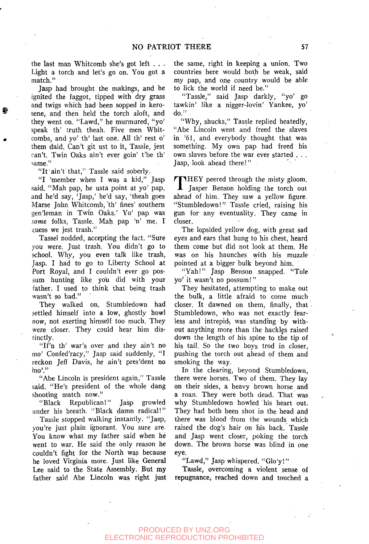the last man Whitcomb she's got left . . . Light a torch and let's go on. You got a match."

Jasp had brought the makings, and he ignited the faggot, tipped with dry grass and twigs which had been sopped in kerosene, and then held the torch aloft, and they went on. "Lawd," he murmured, "yo' speak th' truth theah. Five men Whitcombs, and yo' th' last one. All th' rest o' them daid. Can't git ust to it, Tassle, jest can't. Twin Oaks ain't ever goin' t'be th' ^ame."

"It ain't that," Tassle said soberly.

"I 'member when I was a kid," Jasp said. "Mah pap, he usta point at yo' pap, and he'd say, 'Jasp,' he'd say, 'theah goes Marse John Whitcomb, 'th' fines' southern gen'leman in Twin Oaks.' Yo' pap was *some* folks, Tassle. Mah pap 'n' me, I guess we jest trash."

Tassel nodded, accepting the fact. "Sure you were. Just trash. You didn't go to school. Why, you even talk like trash, Jasp. I had to go to Liberty School at Port Royal, and I couldn't ever go possum hunting like you did with your father. I used to think that being trash wasn't so bad."

They walked on. Stumbledown had settled himself into a low, ghostly howl now, not exerting himself too much. They were closer. They could hear him distinctly.

"If'n th' war's over and they ain't no mo' Confed'racy," Jasp said suddenly, "I reckon Jeff Davis, he ain't pres'dent no mo'."

"Abe Lincoln is president again," Tassle said. "He's president of the whole dang shooting match now."

"Black Republican!" Jasp growled under his breath. "Black damn radical!"

Tassle stopped walking instantly. "Jasp, you're just plain ignorant. You sure are. You know what my father said when he went to war. He said the only reason he couldn't fight for the North was because he loved Virginia more. Just like General Lee said to the State Assembly. But my father said Abe Lincoln was right just the same, right in keeping a union. Two countries here would both be weak, said my pap, and one country would be able to lick the world if need be."

"Tassle," said Jasp darkly, "yo' go tawkin' like a nigger-lovin' Yankee, yo' do."

"Why, shucks," Tassle replied heatedly, "Abe Lincoln went and freed the slaves in '61, and everybody thought that was something. My own pap had freed his own slaves before the war ever started . . . Jasp, look ahead there!"

THEY peered through the misty gloom,<br>Jasper Benson holding the torch out **I** Jasper Benson holding the torch out ahead of him. They saw a yellow figure. "Stumbledown!" Tassle cried, raising his gun for- any eventuality. They came in closer.

The lopsided yellow dog, with great sad eyes and ears that hung to his chest, heard them come but did not look at them. He was on his haunches with his muzzle pointed at a bigger bulk beyond him.

"Yah!" Jasp Benson snapped. "Tole yo' it wasn't no possum!"

They hesitated, attempting to make out the bulk, a little afraid to come much closer. It dawned on them, finally, that Stumbledown, who was not exactly fearless and intrepid, was standing by without anything more than the hackles raised down the length of his spine to the tip of his tail. So the two boys trod in closer, pushing the torch out ahead of them and smoking the way.

In the clearing, beyond Stumbledown, there were horses. Two of them. They lay on their sides, a heavy brown horse and a roan. They were both dead. That was why Stumbledown howled his heart out. They had both been shot in the head and there was blood from the wounds which raised the dog's hair on his back. Tassle and Jasp went closer, poking the torch down. The brown horse was blind in one eye.

"Lawd," Jasp whispered. "Glo'y!"

Tassle, overcoming a violent sense of repugnance, reached down and touched a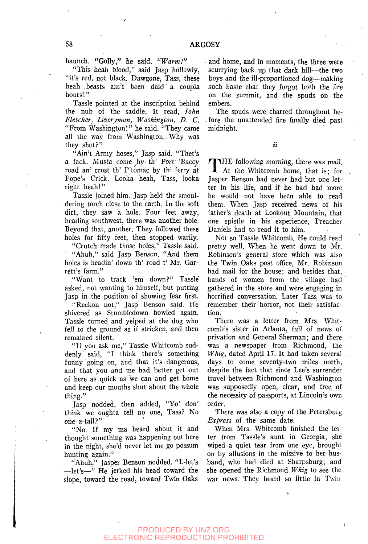haunch. "Golly," he said. *"Warm!"* 

"This heah blood," said Jasp hollowly, "it's red, not black. Dawgone, Tass, these heah . beasts ain't been daid a coupla hours!"

Tassle pointed at the inscription behind the nub of the saddle. It read, *John Fletcher, Liveryman, Washington, D. C.*  "From Washington!" he said. "They came all the way from Washington. Why was they shot?"

"Ain't Army hoses," Jasp said. "Thet's a fack. Musta come by th' Port 'Baccy road an' crost th' P'tomac by th' ferry at Pope's Crick. Looka heah, Tass, looka right heah!"

Tassle joined him. Jasp held the smouldering torch close to the earth. In the soft dirt, they saw a hole. Four feet away, heading southwest, there was another hole. Beyond that, another. They followed these holes for fifty feet, then stopped warily.

"Crutch made those holes," Tassle said. "Ahuh," said Jasp Benson. "And them holes is headin' down th' road t' Mr. Garrett's farm."

"Want to track 'em down?" Tassle asked, not wanting to himself, but putting Jasp in the position of showing fear first.

"Reckon not," Jasp Benson said. He shivered as Stumbledown howled again. Tassle turned and yelped at the dog who fell to the ground as if stricken, and then remained silent.

"If you ask me," Tassle Whitcomb suddenly' said, "I think there's something funny going on, and that it's dangerous, and that you and me had better get out of here as quick as we can and get home and keep our mouths shut about the whole thing."

Jasp nodded, then added, "Yo' don' think we oughta tell no one, Tass? No one a-tall?"

"No. If my ma heard about it and thought something was happening out here in the night, she'd never let me go possum hunting again."

"Ahuh," Jasper Benson nodded. "L-let's  $-\text{let's}$  He jerked his head toward the slope, toward the road, toward Twin Oaks and home, and in moments, the three were scurrying back up that dark hill—the two boys and the ill-proportioned dog—making such haste that they forgot both the fire on the summit, and the spuds on the embers.

The spuds were charred throughout be- .fore the unattended fire finally died past midnight.

ii

 $\bf{l}$ HE following morning, there was mail. At the Whitcomb home, that is; for Jasper Benson had never had but one letter in his life, and if he had had more he would not have been able to read them. When Jasp received news of his father's death at Lookout Mountain, that one epistle in his experience, Preacher Daniels had to read it to him.

Not so Tassle Whitcomb. He could read pretty well. When he went down to Mr. Robinson's general store which was also the Twin Oaks post office, Mr. Robinson had mail for the house; and besides that, bands of women from the village had gathered in the store and were engaging in horrified conversation. Later Tass was to remember their horror, not their satisfaction.

There was a letter from Mrs. Whitcomb's sister in Atlanta, full of news of privation and General Sherman; and there was a newspaper from Richmond, the *Whig,* dated April 17. It had taken several days to come seventy-two miles north, despite the fact that since Lee's surrender travel between Richmond and Washington was supposedly open, clear, and free of the necessity of passports, at Lincoln's own order.

There was also a copy of the Petersburg *Express* of the same date.

When Mrs. Whitcomb finished the letter from Tassle's aunt in Georgia, she wiped a quiet tear from one eye, brought on by allusions in the missive to her husband, who had died at Sharpsburg; and she opened the Richmond *Whig* to see the war news. They heard so little in Twin

ŧ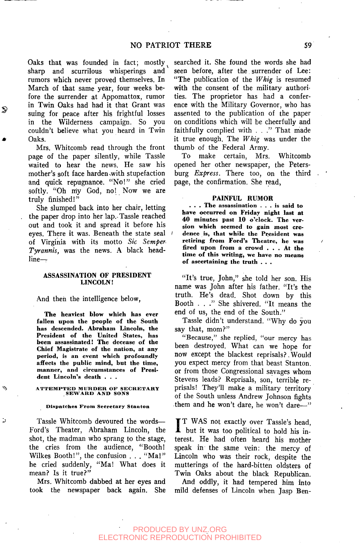Oaks that was founded in fact; mostly sharp and scurrilous whisperings and rumors which never proved themselves. In March of that same year, four weeks before the surrender at Appomattox, rumor in Twin Oaks had had it that Grant was suing for peace after his frightful losses in the Wilderness campaign. So you couldn't believe what you heard in Twin Oaks.

Mrs. Whitcomb read through the front page of the paper silently, while Tassle waited to hear the news. He saw his mother's soft face harden swith stupefaction and quick repugnance. "No!" she cried softly. "Oh my God, no! Now we are truly finished!"

She slumped back into her chair, letting the paper drop into her lap.-Tassle reached out and took it and spread it before his eyes. There it was. Beneath the state seal of Virginia with its motto *Sic Semper-Tyrannis,* was the news. A black headline—

# ASSASSINATION OF PRESIDENT LINCOLN!

And then the intelligence below,

**The heayiest blow which has ever fallen upon the people of the South has descended. Abraham Lincoln, the President of the United States, has been assassinated! The decease of the Chief Magistrate of the nation, at any period, is an event which profoundly affects the public mind, but the time, manner, and circumstances of President Lincoln's death . . .** 

# **A^TTEMPTBD MURDER OP SECRETARY SEWARD AND SONS**

#### **Dispatches From Secretary Stanton**

Ь

Tassle Whitcomb devoured the words— Ford's Theater, Abraham Lincoln, the shot, the madman who sprang to the stage, the cries from the audience, "Booth! Wilkes Booth!", the confusion . . . "Ma!" he cried suddenly, "Ma! What does it mean? Is it true?"

Mrs. Whitcomb dabbed at her eyes and took the newspaper back again. She searched it. She found the words she had seen before, after the surrender of Lee: "The publication of the *Whig* is resumed with the consent of the military authorities. The proprietor has had a conference with the Military Governor, who has assented to the publication of the paper on conditions which will be cheerfully and faithfully complied with , . ." That made it true enough. The *Whig* was under the thumb of the Federal Army.

To make certain, Mrs. Whitcomb opened her other newspaper, the Petersburg *Express.* There too, on the third page, the confirmation. She read,

#### **PAINFUL RUMOR**

**. . . The assassination .. . is said to have occurred on Friday night last at 40 minutes past 10 o'clock. The version which seemed to gain most cre-***I* **dence is, that while the President was retiring from Ford's Theatre, he was fired upon from a crowd .. . At the time of this writing, we have no means of ascertaining the truth . . .** 

"It's true, John," she told her son. His name was John after his father. "It's the truth. He's dead. Shot down by this Booth . . ." She shivered. "It means the end of us, the end of the South."

Tassle didn't understand. "Why do you say that, mom?"

"Because," she replied, "our mercy has been destroyed. What can we hope for now except the blackest reprisals?,Would you expect mercy from that beast Stanton, or from those Congressional savages whom Stevens leads? Reprisals, son, terrible reprisals! They'll make a military territory of the South unless Andrew Johnson fights them and he won't dare, he won't dare—"

IT WAS not exactly over Tassle's head,<br>but it was too political to hold his in-T T WAS not exactly over Tassle's head, terest. He had often heard his mother speak in the same vein: the mercy of Lincoln who was their rock, despite the mutterings of the hard-bitten oldsters of Twin Oaks about the black Republican.

And oddly, it had tempered him into mild defenses of Lincoln when Jasp Ben-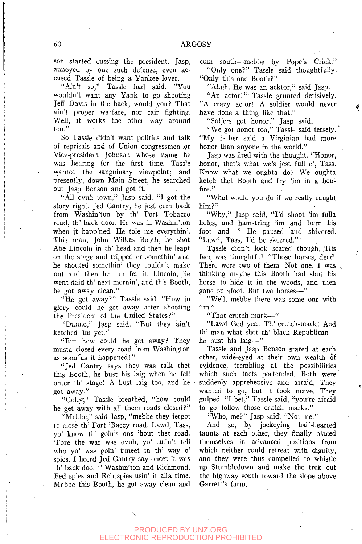son started cussing the president. Jasp, annoyed by one such defense, even accused Tassle of being a Yankee lover.

"Ain't so," Tassle had said. "You wouldn't want any Yank to go shooting Jeff Davis in the back, would you? That ain't proper warfare, nor fair fighting. Well, it works the other way around too."

So Tassle didn't want politics and talk of reprisals and of Union congressmen ,or Vice-president Johnson whose name he was hearing for the first time. Tassle wanted the sanguinary viewpoint; and presently, down Main Street, he searched out Jasp Benson and got it.

"All ovuh town," Jasp said. "I got the story right. Jed Gantry, he jest cum back from Washin'ton by th' Port Tobacco road, th' back door. He was in Washin'ton when it happ'ned. He tole me'everythin'. This man, John Wilkes Booth, he shot Abe Lincoln in th' head and then he leapt on the stage and tripped er somethin' and he shouted somethin' they couldn't make out and then he run fer it. Lincoln, he went daid th' next mornin', and this Booth, he got away clean."

"He got away?" Tassle said. "How in glory could he get away after shooting the Prrsident of the United States?"

"Dunno," Jasp said. "But they ain't ketched 'im yet."

"But how could he get away? They musta closed every road from Washington as soon as it happened!"

"Jed Gantry says they was talk thet this Booth, he bust his laig when he fell onter th' stage! A bust laig too, and he got away."

"Golly," Tassle breathed, "how could he get away with all them roads closed?"

"Mebbe," said Jasp, "mebbe they fergot to close th' Port 'Baccy road. Lawd, Tass, yo' know th' goin's ons 'bout thet road. 'Fore the war was ovuh, yo' cudn't tell who yo' was goin' t'meet in th' way o' spies. I heerd Jed Gantry say oncet it was th' back door t' Washin'ton and Richmond. Fed spies and Reb spies usin' it alia time. Mebbe this Booth, he got away clean and

cum south—mebbe by Pope's Crick." "Only one?" Tassle said thoughtfully. "Only this one Booth?"

"Ahuh. He was an acktor," said Jasp.

"An actor!" Tassle grunted derisively. "A crazy actor! A soldier would never have done a thing like that."

"Soljers got honor," Jasp said.

"We got honor too," Tassle said tersely. "My father said a Virginian had more honor than anyone in the world."

Jasp was fired with the thought. "Honor, honor, thet's what we's jest full o', Tass. Know what we oughta do? We oughta ketch thet Booth and fry 'im in a bonfire."

"What would you do if we really caught him?"

"Why," Jasp said, "I'd shoot 'im fulla holes, and hamstring 'im. and burn his foot and—" He paused and shivered. "Lawd, Tass, I'd be sheered."'

Tassle didn't look scared though. His face was thoughtful. "Those hqrses, dead. There were two of them. Not one. I was  $\sim$ thinking maybe this Booth had shot his horse to hide it in the woods, and then gone on afoot. But two horses—"

"Well, mebbe there was some one with 'im."

"That crutch-mark—"

"Lawd God yea! Th' crutch-mark! And th' man what shot th' black Republicanhe bust his laig—"

Tassle and Jasp Benson stared at each other, wide-eyed at their own wealth of evidence, trembling at the possibilities which such facts portended. Both were suddenly apprehensive and afraid. They wanted to go, but it took nerve. They gulped. "I bet," Tassle said, "you're afraid to go follow those crutch marks."

"Who, me?" Jasp said. "Not me."

And so, by jockeying half-hearted taunts at each other, they finally placed themselves in advanced positions from which neither could retreat with dignity, and they were thus compelled to whistle up Stumbledown and make the trek out the highway south toward the slope above Garrett's farm.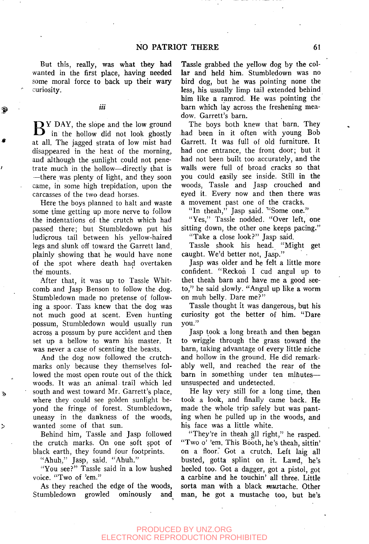But this, really, was what they had wanted in the first place, having needed some moral force to back up their wary curiosity.

# iii

 $\mathbf{B}^{\text{Y~DAY, the slope and the low ground}}$  in the hollow did not look ghostly  $\sum$  Y DAY, the slope and the low ground at all. The jagged strata of low mist had disappeared in the heat of the morning, and although the sunlight could not penetrate much in the hollow—directly that is —there was plenty of light, and they soon came, in some high trepidation, upon the carcasses of the two dead horses.

Here the boys planned to halt and waste some time getting up more nerve to follow the indentations of- the crutch which had passed there; but Stumbledown put his ludicrous tail between his yellow-haired legs and slunk off toward the Garrett land, plainly showing that he would have none of the spot where death had overtaken the mounts.

After that, it was up to Tassle Whitcomb and Jasp Benson to follow the dog. Stumbledown made no pretense of following a spoor. Tass knew that the dog was not much good at scent. Even hunting possum, Stumbledown would usually run across a possum by pure accident and then set up a bellow to warn his master. It was never a case of scenting the beasts.

And the dog now followed the crutchmarks only because they themselves followed the most open route out of the thick woods. It was an animal trail which led south and west toward Mr. Garrett's place, where they could see golden sunlight beyond the fringe of forest. Stumbledown, uneasy in the dankness of the woods, wanted some of that sun.

Behind him, Tassle and Jasp followed the crutch marks. On one soft spot of black earth, they found four footprints.

"Ahuh," Jasp, said. "Ahuh."

ħ

Þ

''You see?" Tassle said in a low hushed voice. "Two of 'em."

As they reached the edge of the woods, Stumbledown growled ominously and Tassle grabbed the yellow dog by the collar and held him. Stumbledown was no bird dog, but he was pointing none the less, his usually limp tail extended behind him like a ramrod. He was pointing the barn which lay across the freshening meadow. Garrett's barn.

The boys both knew that barn. They had been in it often with young Bob Garrett. It was full of old furniture. It had one entrance, the front door; but it had not been built too accurately, and the walls were full of broad cracks so that you could easily see inside. Still in the woods, Tassle and Jasp crouched and eyed it. Every now and then there was a movement past one of the cracks.

"In theah," Jasp said. "Some one."

"Yes," Tassle nodded. "Over left, one sitting down, the other one keeps pacing."

"Take a close look?" Jasp said.

Tassle shook his head. "Might get caught. We'd better not, Jasp."

Jasp was older and he felt a little more confident. "Reckon I cud angul up to thet theah barn and have me a good seeto," he said slowly. "Angul up like a worm on muh belly. Dare me?"

Tassle thought it was dangerous, but his curiosity got the better of him. "Dare you."

Jasp took a long breath and then began to wriggle through the grass toward the barn, taking advantage of every little niche and hollow in the ground. He did remarkably well, and reached the rear of the barn in something under ten mihutes unsuspected and undetected.

He lay very still for a long time, then took a look, and finally came back. He made the whole trip safely but was panting when he pulled up in the woods, and his face was a little white.

"They're in theah all right," he rasped. "Two o' 'em. This Booth, he's theah, sittin' on a floor. Got a crutch. Left laig all busted, gotta splint on it. Lawd, he's heeled too. Got a dagger, got a pistol, got a carbine and he touchin' all three. Little sorta man with a black mustache. Other man, he got a mustache too, but he's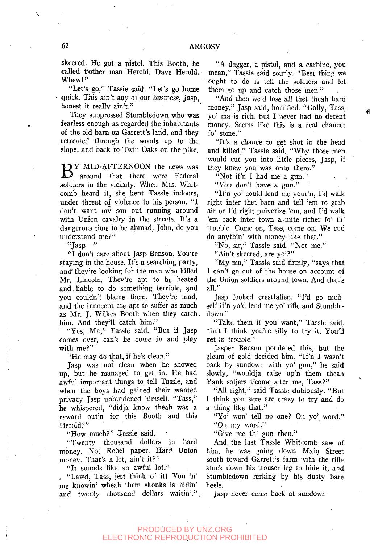skeered. He got a pistol. This Booth, he called t'other man Herold. Dave Herold. Whew!"

"Let's go," Tassle said. "Let's go home quick. This ain't any of our business, Jasp, honest it really ain't."

They suppressed Stumbledown who was fearless enough as regarded the inhabitants of the old barn on Garrett's land, and they retreated through the woods up to the slope, and back to Twin Oaks on the pike.

BY MID-AFTERNOON the news was<br>around that there were Federal around that there were Federal soldiers in the vicinity. When Mrs. Whitcomb . heard it, she kept Tassle indoors, under threat of violence to his person. "I don't want my son out running around with Union cavalry in the streets. It's a dangerous time to be abroad, John, do you understand me?"

 $"$ asp—"

"I don't care about Jasp Benson. You're staying in the house. It's a searching party, and" they're looking for the man who killed Mr. Lincoln. They're apt to be heated and liable to do something terrible, and you couldn't blame them. They're mad, and the innocent are apt to suffer as much as Mr. J. Wilkes Booth when they catch, him. And they'll catch him."

"Yes, Ma," Tassle said. "But if Jasp comes over, can't he come in and play with me?"

"He may do that, if he's clean."

Jasp was not clean when he showed up, but he managed to get in. He had awful important things to tell Tassle, and when the boys had gained their wanted privacy Jasp unburdened himself. "Tass," he whispered, "didja know theah was a reward out'n for this Booth and this Herold?"

"How much?" Tassle said.

"Twenty thousand dollars in hard money. Not Rebel paper. Hard Union money. That's a lot, ain't it?"

"It sounds like an awful lot."

. "Lawd, Tass, jest think of iti You 'n' me knowin' wheah them skonks is hidin' and twenty thousand dollars waitin'.".

"A dagger, a pistol, and a carbine, you mean," Tassle said sourly. "Best thing we ought to do is tell the soldiers and let them go up and catch those men."

"And then we'd lose all thet theah hard money," Jasp said, horrified. "Golly, Tass, yo' ma is rich, but I never had no decent money. Seems like this is a real chancet fo' some."

"It's a chance to get shot in the head and killed," Tassle said. "Why those men would cut you into little pieces, Jasp, if they knew you was onto them."

"Not if'n I had me a gun."

"You don't have a gun."

"If'n yo' could lend me your'n, I'd walk right inter thet barn and tell 'em to grab air or I'd right pulverize 'em, and I'd walk 'em back inter town a mite richer fo' th' trouble. Come on, Tass, come on. We cud do anythin' with money like thet."

"No, sir," Tassle said. "Not me."

"Ain't skeered, are yo'?"

"My ma," Tassle said firmly, "says that I can't go out of the house on account of the Union soldiers around town. And that's all."

Jasp looked crestfallen. "I'd go muhself if'n yo'd lend me yo' rifle and Stumbledown."

"Take them if you want," Tassle said, "but I think you're silly to try it. You'll get in trouble."

Jasper Benson pondered this, but the gleam of gold decided him. "If'n I wasn't back by sundown with yo' gun," he said slowly, "wouldja raise up'n them theah Yank soljers t'come a'ter me, Tass?"

"All right," said Tassle dubiously. "But I think you sure are crazy to try and do a thing like that."

"Yo' won' tell no one? On yo' word." "On my word."

"Give me th' gun then."

And the last Tassle Whitcomb saw of him, he was going down Main Street south toward Garrett's farm with the rifle stuck down his trouser leg to hide it, and Stumbledown lurking by his dusty bare heels.

Jasp never came back at sundown.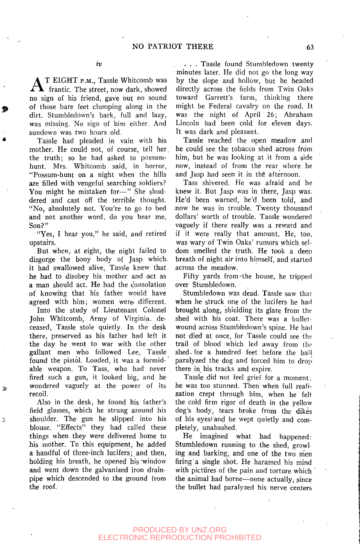AT EIGHT P.M., Tassle Whitcomb was<br>frantic. The street, now dark, showed T EIGHT P.M., Tassle Whitcomb was no sign of his friend, gave out no sound of those bare feet clumping along in the dirt. Stumbledown's bark, full and lazy, was missing. No sign of him either. And sundown was two hours old.

Tassle had pleaded in vain with his mother. He could not, of course, tell her. the truth; so he had asked to possumhunt. Mrs. Whitcomb said, in horror, "Possum-hunt on a night when the hills are filled with vengeful searching soldiers? You might be mistaken for—" She shuddered and cast off the terrible thought. "No, absolutely not. You're to go to bed and not another word, do you hear me, Son?"

"Yes, I hear you," he said, and retired upstairs.

But when, at eight, the night failed to disgorge the bony body of Jasp whichit had swallowed alive, Tassle knew that he had to disobey his mother and act as a man should act. He had the consolation of knowing that his father would have agreed with him; women were different.

Into the study of Lieutenant Colonel John Whitcomb, Army of Virginia, deceased, Tassle stole quietly. In the desk there, preserved as his father had left it the day he went to war with the other gallant men who followed Lee, Tassle found the pistol. Loaded, it was a formidable weapon. To Tass, who had never fired such a gun, it looked big, and he wondered vaguely at the power of its recoil.

Also in the desk, he found his father's field glasses, which he strung around his shoulder. The gun he slipped into his blouse. "Effects" they had called these things when they were delivered home to his mother. To this equipment, he added a handful of three-inch lucifers; and then, holding his breath, he opened his window and went down the galvanized iron drainpipe which descended to the ground from the roof.

3

. . . Tassle found Stumbledown twenty minutes later. He did not go the long way by the slope and hollow, but he headed directly across the fields from Twin Oaks toward Garrett's farm, thinking there might be Federal cavalry on *the* road. It was the night of April 26; Abraham Lincoln had been cold for eleven days. It was dark and pleasant.

Tassle reached the open meadow and he could see the tobacco shed across from him, but he was looking at it from a side now, instead of from the rear where he and Jasp had seen it in the afternoon.

Tass shivered. He was afraid and he knew it. But Jasp was in there, Jasp was. He'd been warned, he'd been told, and .now he was in trouble. Twenty thousand dollars' worth of trouble. Tassle wondered vaguely if there really was a reward and if it were really that amount. He, too, was wary of Twin Oaks' rumors which seldom smelled the truth. He took a deep breath of night air into himself, and started across the meadow.

Fifty yards from-the house, he tripped over Stumbledown.

Stumbledown was dead. Tassle saw that when he struck one of the lucifers he had brought along, shielding its glare from the shed with his coat. There was a bulletwound across Stumbledown's spine. He had not died at once, for Tassle could see the trail of blood which led away from the shed- for a hundred feet before the bail paralyzed the dog and forced him to drop there in his tracks and expire.

Tassle did not feel grief for a moment; he was too stunned. Then when full realization crept through him, when he felt the cold firm rigor of death in the yellow dog's body, tears broke from the dikes of his eyesiand he wept quietly and completely, unabashed.

He imagined what had happened: Stumbledown running to the shed, growling and barking, and one of the two men firing a single shot. He harassed his mind with pictures of the pain and torture which the animal had borne—none actually, since the bullet had paralyzed his nerve centers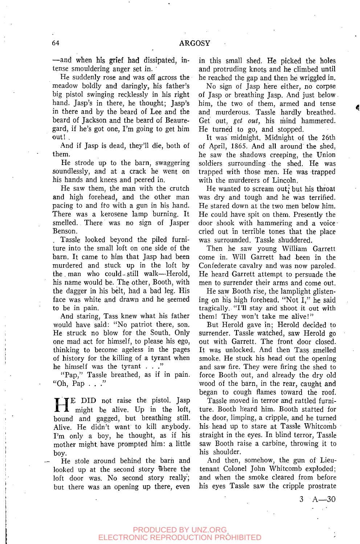—and when his grief had dissipated, intense smouldering anger set in. '

He suddenly rose and was off across the meadow boldly and daringly, his father's big pistol swinging recklessly in his right hand. Jasp's in there, he thought; Jasp's in there and by the beard of Lee and the beard of Jackson and the beard of Beauregard, if he's got one, I'm going to get him out! .

And if Jasp is dead, they'll die, both of them.

He strode up to the barn, swaggering soundlessly, and at a crack he went on his hands and knees and peered in.

He saw them, the man with the crutch and high forehead, and the other man pacing to and fro with a gun in his hand. There was a kerosene lamp burning. It smelled. There was no sign of Jasper Benson.

. Tassle looked beyond the piled furniture into the small loft on one side of the barn. It came to him that Jasp had been murdered and stuck up in the loft by the man who could-still walk—Herold, his name would be. The other, Booth, with the dagger in his belt, had a bad leg. His face was white and drawn and he seemed to be in pain.

And staring, Tass knew what his father would have said: "No patriot there, son. He struck no blow for the South. Only one mad act for himself, to please his ego, thinking to become ageless in the pages of history for the killing of a tyrant when he himself was the tyrant  $\ldots$  "

"Pap," Tassle breathed, as if in pain. "Oh, Pap  $\ldots$ "

**HE DID** not raise the pistol. Jasp<br>might be alive. Up in the loft,<br>bound and gagged, but breathing still. **TE** DID not raise the pistol. Jasp **A** might be alive. Up in the loft, Alive. He didn't want to kill anybody. I'm only a boy, he thought, as if his mother might, have prompted him: a little boy.

He stole around behind the barn and looked up at the second story where the loft door was. No second story really; but there was an opening up there, even

in this small shed. He picked the holes and protruding knots and he climbed until he reached the gap and then he wriggled in.

No sign of Jasp here either, no corpse of Jasp or breathing Jasp. And just below him, the two of them, armed and tense and murderous. Tassle hardly breathed. Get out, get out, his mind hammered. He turned to go, and stopped.

It was midnight. Midnight of the 26th of April, 1865. And all around the shed, he saw the shadows creeping, the Union soldiers surrounding the shed. He was trapped with those men. He was trapped with the murderers of Lincoln.

He wanted to scream out; but his throat was dry and tough and he was terrified. He stared down at the two men below him. He could have spit on them. Presently the door shook with hammering and a voicecried out in terrible tones that the place was surrounded. Tassle shuddered.

Then he saw young William Garrett come in. Will Garrett had been in the Confederate cavalry and was now paroled. He heard Garrett attempt to persuade the men to surrender their arms and come out.

He saw Booth rise, the lamplight glistening on his high forehead. "Not I," he said tragically. "I'll stay and shoot it out with them! They won't take me alive!"

But Herold gave in; Herold decided to surrender. Tassle watched, saw Herold go out with Garrett. The front door closed. It was unlocked. And then Tass smelled smoke. He stuck his head out the opening and saw fire. They were firing the shed to force Booth out, and already the dry old wood of the barn, in the rear, caught and began to cough flames toward the roof.

Tassle moved in terror and rattled furniture. Booth heard him. Booth started for the door, limping, a cripple, and he turned his head up to stare at Tassle Whitcomb straight in the eyes. In blind terror, Tassle saw Booth raise a carbine, throwing it to his shoulder.

And then, somehow, the gun of Lieutenant Colonel John Whitcomb exploded; and when the smoke cleared from before his eyes Tassle saw the cripple prostrate

 $3 \text{ A} - 30$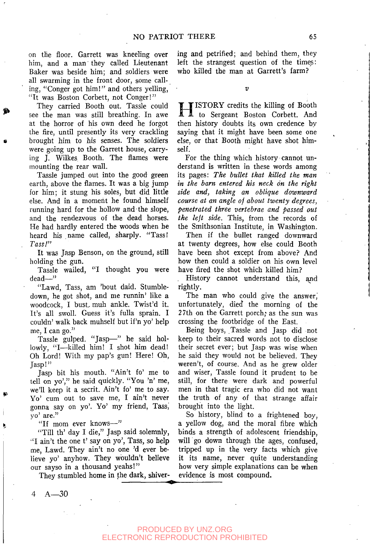on the floor. Garrett was kneeling over him, and a man they called Lieutenant Baker was beside him; and soldiers were all swarming in the front door, some calling, "Conger got him!" and others yelling, "It was Boston Corbett, not Conger!"

They carried Booth out. Tassle could see the man was still breathing. In awe at the horror of his own deed he forgot the fire, until presently its very crackling brought him to his senses. The soldiers were going up to the Garrett house, carrying J. Wilkes Booth. The flames were mounting the rear wall.

Tassle jumped out into the good green earth, above the flames. It was a big jump for him; it stung his soles, but did little else. And in a moment he found himself running hard for the hollow and the slope, and the rendezvous of the dead horses. He had hardly entered the woods when he heard his name called, sharply. "Tass! *Tass!"* 

It was Jasp Benson, on the ground, still holding the gun.

Tassle wailed, "I thought you were dead—"

"Lawd, Tass, am 'bout daid. Stumbledown, he got shot, and me runnin' like a woodcock, I bust, muh ankle. Twist'd it. It's all swoll. Guess it's fulla sprain. I couldn' walk back muhself but if'n yo' help me, I can go."

Tassle gulped. "Jasp—" he said hollowly, "I—killed him! I shot him dead! Oh Lord! With my pap's gun! Here! Oh, Jasp!"

Jasp bit his mouth. "Ain't fo' me to tell on yo'," he said quickly. "You 'n' me, we'll keep it a secrit. Ain't fo' me to say. Yo' cum out to save me, I ain't never gonna say on yo'. Yo' my friend, Tass,' yo' are."

"If mom ever knows—"

"Till th' day I die," Jasp said solemnly, "I ain't the one t' say on yo', Tass, so help me, Lawd. They ain't no one 'd ever believe yo' anyhow. They wouldn't believe our sayso in a thousand yeahs!"

They stumbled home in the dark, shiver-

ing and petrified; and behind them, they left the strangest question of the times: who killed the man at Garrett's farm?

 $\overline{2}$ 

H ISTORY credits the killing of Booth to Sergeant Boston Corbett. And then history doubts its own credence by saying that it might have been some one else, or that Booth might have shot himself.

For the thing which history cannot understand is written in these words among its pages: *The bullet that killed the man in the barn entered his neck on the right side and, taking an oblique downward course at an angle oj about twenty degrees, penetrated three vertebrae and passed out the left side.* This, from the records of the Smithsonian Institute, in Washington.

Then if the bullet ranged downward at twenty degrees, how else could Booth have been shot except from above? And how then could a soldier on his own level have fired the shot which killed him?

History cannot understand this, and rightly.

The man who could give the answer, unfortunately, died the morning of the 27th on the Garrett porch; as the sun was crossing the footbridge of the East.

Being boys, Tassle and Jasp did not keep to their sacred words not to disclose their secret ever; but Jasp was wise when he said they would not be believed. They weren't, of course. And as he grew older and wiser, Tassle found it prudent to be still, for there were dark and powerful men in that tragic era who did not want the truth of any of that strange affair brought into the light.

So history, blind to a frightened boy, a yellow dog, and the moral fibre which binds a strength of adolescent friendship, will go down through the ages, confused, tripped up in the very facts which give it its name, never quite understanding how very simple explanations can be when evidence is most compound.

4 A—30